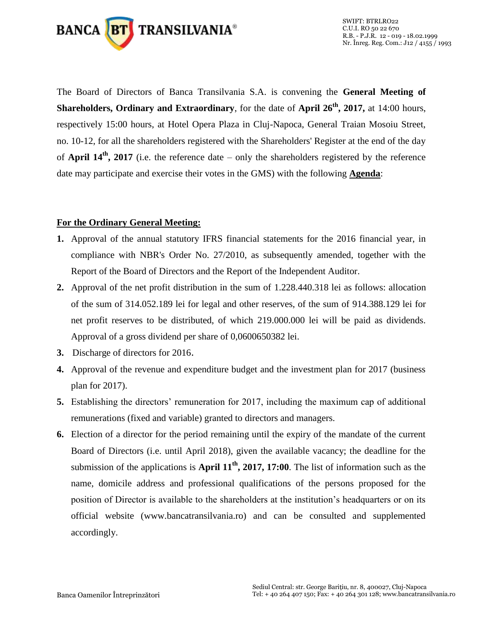

The Board of Directors of Banca Transilvania S.A. is convening the **General Meeting of Shareholders, Ordinary and Extraordinary**, for the date of **April 26th, 2017,** at 14:00 hours, respectively 15:00 hours, at Hotel Opera Plaza in Cluj-Napoca, General Traian Mosoiu Street, no. 10-12, for all the shareholders registered with the Shareholders' Register at the end of the day of **April 14th, 2017** (i.e. the reference date – only the shareholders registered by the reference date may participate and exercise their votes in the GMS) with the following **Agenda**:

#### **For the Ordinary General Meeting:**

- **1.** Approval of the annual statutory IFRS financial statements for the 2016 financial year, in compliance with NBR's Order No. 27/2010, as subsequently amended, together with the Report of the Board of Directors and the Report of the Independent Auditor.
- **2.** Approval of the net profit distribution in the sum of 1.228.440.318 lei as follows: allocation of the sum of 314.052.189 lei for legal and other reserves, of the sum of 914.388.129 lei for net profit reserves to be distributed, of which 219.000.000 lei will be paid as dividends. Approval of a gross dividend per share of 0,0600650382 lei.
- **3.** Discharge of directors for 2016.
- **4.** Approval of the revenue and expenditure budget and the investment plan for 2017 (business plan for 2017).
- **5.** Establishing the directors' remuneration for 2017, including the maximum cap of additional remunerations (fixed and variable) granted to directors and managers.
- **6.** Election of a director for the period remaining until the expiry of the mandate of the current Board of Directors (i.e. until April 2018), given the available vacancy; the deadline for the submission of the applications is **April 11th, 2017, 17:00**. The list of information such as the name, domicile address and professional qualifications of the persons proposed for the position of Director is available to the shareholders at the institution's headquarters or on its official website (www.bancatransilvania.ro) and can be consulted and supplemented accordingly.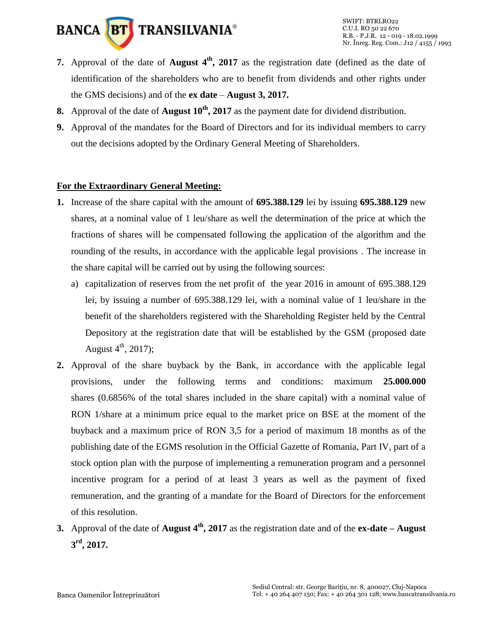

- **7.** Approval of the date of **August 4th, 2017** as the registration date (defined as the date of identification of the shareholders who are to benefit from dividends and other rights under the GMS decisions) and of the **ex date** – **August 3, 2017.**
- **8.** Approval of the date of **August 10th, 2017** as the payment date for dividend distribution.
- **9.** Approval of the mandates for the Board of Directors and for its individual members to carry out the decisions adopted by the Ordinary General Meeting of Shareholders.

# **For the Extraordinary General Meeting:**

- **1.** Increase of the share capital with the amount of **695.388.129** lei by issuing **695.388.129** new shares, at a nominal value of 1 leu/share as well the determination of the price at which the fractions of shares will be compensated following the application of the algorithm and the rounding of the results, in accordance with the applicable legal provisions . The increase in the share capital will be carried out by using the following sources:
	- a) capitalization of reserves from the net profit of the year 2016 in amount of 695.388.129 lei, by issuing a number of 695.388.129 lei, with a nominal value of 1 leu/share in the benefit of the shareholders registered with the Shareholding Register held by the Central Depository at the registration date that will be established by the GSM (proposed date August  $4^{th}$ , 2017);
- **2.** Approval of the share buyback by the Bank, in accordance with the applicable legal provisions, under the following terms and conditions: maximum **25.000.000**  shares (0.6856% of the total shares included in the share capital) with a nominal value of RON 1/share at a minimum price equal to the market price on BSE at the moment of the buyback and a maximum price of RON 3,5 for a period of maximum 18 months as of the publishing date of the EGMS resolution in the Official Gazette of Romania, Part IV, part of a stock option plan with the purpose of implementing a remuneration program and a personnel incentive program for a period of at least 3 years as well as the payment of fixed remuneration, and the granting of a mandate for the Board of Directors for the enforcement of this resolution.
- **3.** Approval of the date of **August 4th, 2017** as the registration date and of the **ex-date – August 3 rd , 2017.**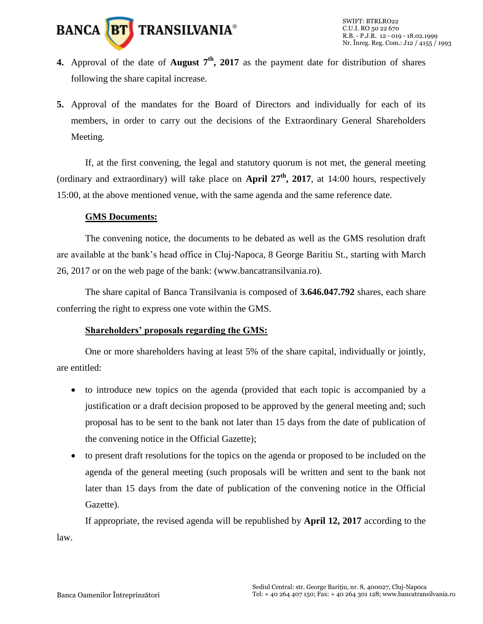

- **4.** Approval of the date of **August 7th, 2017** as the payment date for distribution of shares following the share capital increase.
- **5.** Approval of the mandates for the Board of Directors and individually for each of its members, in order to carry out the decisions of the Extraordinary General Shareholders Meeting.

If, at the first convening, the legal and statutory quorum is not met, the general meeting (ordinary and extraordinary) will take place on **April 27th, 2017**, at 14:00 hours, respectively 15:00, at the above mentioned venue, with the same agenda and the same reference date.

#### **GMS Documents:**

The convening notice, the documents to be debated as well as the GMS resolution draft are available at the bank's head office in Cluj-Napoca, 8 George Baritiu St., starting with March 26, 2017 or on the web page of the bank: (www.bancatransilvania.ro).

The share capital of Banca Transilvania is composed of **3.646.047.792** shares, each share conferring the right to express one vote within the GMS.

## **Shareholders' proposals regarding the GMS:**

One or more shareholders having at least 5% of the share capital, individually or jointly, are entitled:

- to introduce new topics on the agenda (provided that each topic is accompanied by a justification or a draft decision proposed to be approved by the general meeting and; such proposal has to be sent to the bank not later than 15 days from the date of publication of the convening notice in the Official Gazette);
- to present draft resolutions for the topics on the agenda or proposed to be included on the agenda of the general meeting (such proposals will be written and sent to the bank not later than 15 days from the date of publication of the convening notice in the Official Gazette).

If appropriate, the revised agenda will be republished by **April 12, 2017** according to the law.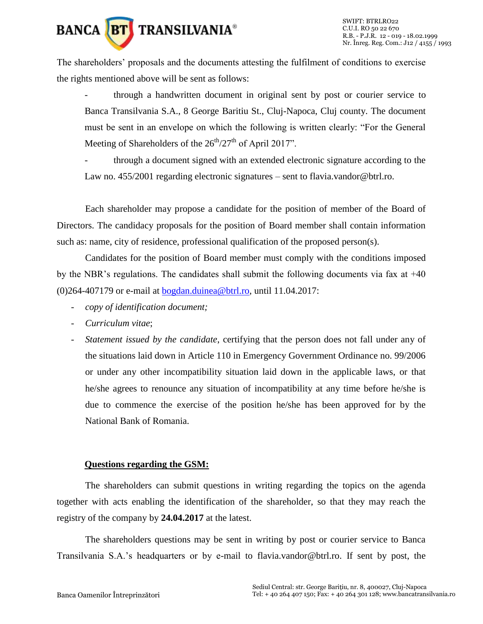

The shareholders' proposals and the documents attesting the fulfilment of conditions to exercise the rights mentioned above will be sent as follows:

through a handwritten document in original sent by post or courier service to Banca Transilvania S.A., 8 George Baritiu St., Cluj-Napoca, Cluj county. The document must be sent in an envelope on which the following is written clearly: "For the General Meeting of Shareholders of the  $26<sup>th</sup>/27<sup>th</sup>$  of April 2017".

through a document signed with an extended electronic signature according to the Law no. 455/2001 regarding electronic signatures – sent to flavia.vandor@btrl.ro.

Each shareholder may propose a candidate for the position of member of the Board of Directors. The candidacy proposals for the position of Board member shall contain information such as: name, city of residence, professional qualification of the proposed person(s).

Candidates for the position of Board member must comply with the conditions imposed by the NBR's regulations. The candidates shall submit the following documents via fax at +40 (0)264-407179 or e-mail at [bogdan.duinea@btrl.ro,](mailto:bogdan.duinea@btrl.ro) until 11.04.2017:

- *copy of identification document;*
- *Curriculum vitae*;
- *Statement issued by the candidate*, certifying that the person does not fall under any of the situations laid down in Article 110 in Emergency Government Ordinance no. 99/2006 or under any other incompatibility situation laid down in the applicable laws, or that he/she agrees to renounce any situation of incompatibility at any time before he/she is due to commence the exercise of the position he/she has been approved for by the National Bank of Romania.

## **Questions regarding the GSM:**

The shareholders can submit questions in writing regarding the topics on the agenda together with acts enabling the identification of the shareholder, so that they may reach the registry of the company by **24.04.2017** at the latest.

The shareholders questions may be sent in writing by post or courier service to Banca Transilvania S.A.'s headquarters or by e-mail to flavia.vandor@btrl.ro. If sent by post, the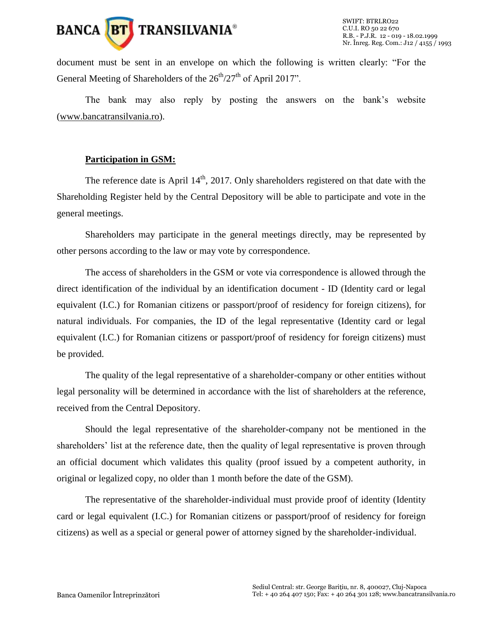

document must be sent in an envelope on which the following is written clearly: "For the General Meeting of Shareholders of the  $26<sup>th</sup>/27<sup>th</sup>$  of April 2017".

The bank may also reply by posting the answers on the bank's website [\(www.bancatransilvania.ro\)](http://www.bancatransilvania.ro/).

#### **Participation in GSM:**

The reference date is April  $14<sup>th</sup>$ , 2017. Only shareholders registered on that date with the Shareholding Register held by the Central Depository will be able to participate and vote in the general meetings.

Shareholders may participate in the general meetings directly, may be represented by other persons according to the law or may vote by correspondence.

The access of shareholders in the GSM or vote via correspondence is allowed through the direct identification of the individual by an identification document - ID (Identity card or legal equivalent (I.C.) for Romanian citizens or passport/proof of residency for foreign citizens), for natural individuals. For companies, the ID of the legal representative (Identity card or legal equivalent (I.C.) for Romanian citizens or passport/proof of residency for foreign citizens) must be provided.

The quality of the legal representative of a shareholder-company or other entities without legal personality will be determined in accordance with the list of shareholders at the reference, received from the Central Depository.

Should the legal representative of the shareholder-company not be mentioned in the shareholders' list at the reference date, then the quality of legal representative is proven through an official document which validates this quality (proof issued by a competent authority, in original or legalized copy, no older than 1 month before the date of the GSM).

The representative of the shareholder-individual must provide proof of identity (Identity card or legal equivalent (I.C.) for Romanian citizens or passport/proof of residency for foreign citizens) as well as a special or general power of attorney signed by the shareholder-individual.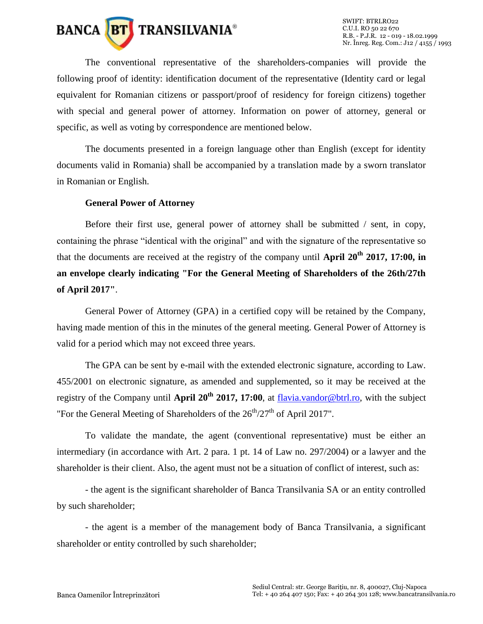

The conventional representative of the shareholders-companies will provide the following proof of identity: identification document of the representative (Identity card or legal equivalent for Romanian citizens or passport/proof of residency for foreign citizens) together with special and general power of attorney. Information on power of attorney, general or specific, as well as voting by correspondence are mentioned below.

The documents presented in a foreign language other than English (except for identity documents valid in Romania) shall be accompanied by a translation made by a sworn translator in Romanian or English.

#### **General Power of Attorney**

Before their first use, general power of attorney shall be submitted / sent, in copy, containing the phrase "identical with the original" and with the signature of the representative so that the documents are received at the registry of the company until **April 20th 2017, 17:00, in an envelope clearly indicating "For the General Meeting of Shareholders of the 26th/27th of April 2017"**.

General Power of Attorney (GPA) in a certified copy will be retained by the Company, having made mention of this in the minutes of the general meeting. General Power of Attorney is valid for a period which may not exceed three years.

The GPA can be sent by e-mail with the extended electronic signature, according to Law. 455/2001 on electronic signature, as amended and supplemented, so it may be received at the registry of the Company until **April 20th 2017, 17:00**, at [flavia.vandor@btrl.ro,](mailto:flavia.vandor@btrl.ro) with the subject "For the General Meeting of Shareholders of the  $26<sup>th</sup>/27<sup>th</sup>$  of April 2017".

To validate the mandate, the agent (conventional representative) must be either an intermediary (in accordance with Art. 2 para. 1 pt. 14 of Law no. 297/2004) or a lawyer and the shareholder is their client. Also, the agent must not be a situation of conflict of interest, such as:

- the agent is the significant shareholder of Banca Transilvania SA or an entity controlled by such shareholder;

- the agent is a member of the management body of Banca Transilvania, a significant shareholder or entity controlled by such shareholder;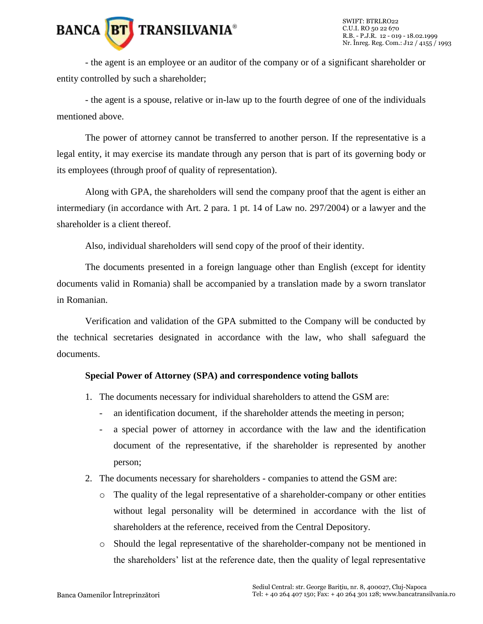# **BANCA BT** TRANSILVANIA<sup>®</sup>

- the agent is an employee or an auditor of the company or of a significant shareholder or entity controlled by such a shareholder;

- the agent is a spouse, relative or in-law up to the fourth degree of one of the individuals mentioned above.

The power of attorney cannot be transferred to another person. If the representative is a legal entity, it may exercise its mandate through any person that is part of its governing body or its employees (through proof of quality of representation).

Along with GPA, the shareholders will send the company proof that the agent is either an intermediary (in accordance with Art. 2 para. 1 pt. 14 of Law no. 297/2004) or a lawyer and the shareholder is a client thereof.

Also, individual shareholders will send copy of the proof of their identity.

The documents presented in a foreign language other than English (except for identity documents valid in Romania) shall be accompanied by a translation made by a sworn translator in Romanian.

Verification and validation of the GPA submitted to the Company will be conducted by the technical secretaries designated in accordance with the law, who shall safeguard the documents.

## **Special Power of Attorney (SPA) and correspondence voting ballots**

- 1. The documents necessary for individual shareholders to attend the GSM are:
	- an identification document, if the shareholder attends the meeting in person;
	- a special power of attorney in accordance with the law and the identification document of the representative, if the shareholder is represented by another person;
- 2. The documents necessary for shareholders companies to attend the GSM are:
	- $\circ$  The quality of the legal representative of a shareholder-company or other entities without legal personality will be determined in accordance with the list of shareholders at the reference, received from the Central Depository.
	- o Should the legal representative of the shareholder-company not be mentioned in the shareholders' list at the reference date, then the quality of legal representative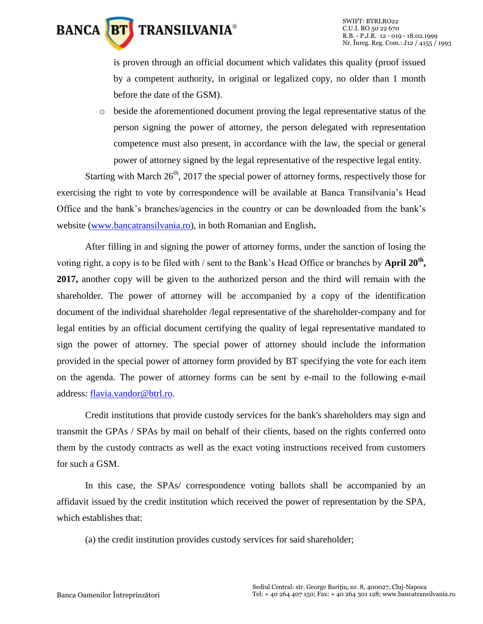

is proven through an official document which validates this quality (proof issued by a competent authority, in original or legalized copy, no older than 1 month before the date of the GSM).

o beside the aforementioned document proving the legal representative status of the person signing the power of attorney, the person delegated with representation competence must also present, in accordance with the law, the special or general power of attorney signed by the legal representative of the respective legal entity.

Starting with March  $26<sup>th</sup>$ , 2017 the special power of attorney forms, respectively those for exercising the right to vote by correspondence will be available at Banca Transilvania's Head Office and the bank's branches/agencies in the country or can be downloaded from the bank's website [\(www.bancatransilvania.ro\)](http://www.bancatransilvania.ro/), in both Romanian and English**.**

After filling in and signing the power of attorney forms, under the sanction of losing the voting right, a copy is to be filed with / sent to the Bank's Head Office or branches by **April 20th , 2017,** another copy will be given to the authorized person and the third will remain with the shareholder. The power of attorney will be accompanied by a copy of the identification document of the individual shareholder /legal representative of the shareholder-company and for legal entities by an official document certifying the quality of legal representative mandated to sign the power of attorney. The special power of attorney should include the information provided in the special power of attorney form provided by BT specifying the vote for each item on the agenda. The power of attorney forms can be sent by e-mail to the following e-mail address: [flavia.vandor@btrl.ro.](mailto:flavia.vandor@btrl.ro)

Credit institutions that provide custody services for the bank's shareholders may sign and transmit the GPAs / SPAs by mail on behalf of their clients, based on the rights conferred onto them by the custody contracts as well as the exact voting instructions received from customers for such a GSM.

In this case, the SPAs/ correspondence voting ballots shall be accompanied by an affidavit issued by the credit institution which received the power of representation by the SPA, which establishes that:

(a) the credit institution provides custody services for said shareholder;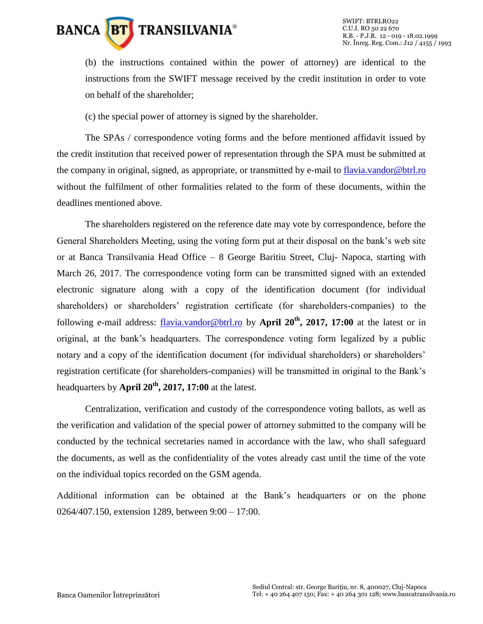

(b) the instructions contained within the power of attorney) are identical to the instructions from the SWIFT message received by the credit institution in order to vote on behalf of the shareholder;

(c) the special power of attorney is signed by the shareholder.

The SPAs / correspondence voting forms and the before mentioned affidavit issued by the credit institution that received power of representation through the SPA must be submitted at the company in original, signed, as appropriate, or transmitted by e-mail to [flavia.vandor@btrl.ro](mailto:flavia.vandor@btrl.ro) without the fulfilment of other formalities related to the form of these documents, within the deadlines mentioned above.

The shareholders registered on the reference date may vote by correspondence, before the General Shareholders Meeting, using the voting form put at their disposal on the bank's web site or at Banca Transilvania Head Office – 8 George Baritiu Street, Cluj- Napoca, starting with March 26, 2017. The correspondence voting form can be transmitted signed with an extended electronic signature along with a copy of the identification document (for individual shareholders) or shareholders' registration certificate (for shareholders-companies) to the following e-mail address: [flavia.vandor@btrl.ro](mailto:flavia.vandor@btrl.ro) by **April 20th, 2017, 17:00** at the latest or in original, at the bank's headquarters. The correspondence voting form legalized by a public notary and a copy of the identification document (for individual shareholders) or shareholders' registration certificate (for shareholders-companies) will be transmitted in original to the Bank's headquarters by **April 20th, 2017, 17:00** at the latest.

Centralization, verification and custody of the correspondence voting ballots, as well as the verification and validation of the special power of attorney submitted to the company will be conducted by the technical secretaries named in accordance with the law, who shall safeguard the documents, as well as the confidentiality of the votes already cast until the time of the vote on the individual topics recorded on the GSM agenda.

Additional information can be obtained at the Bank's headquarters or on the phone 0264/407.150, extension 1289, between 9:00 – 17:00.